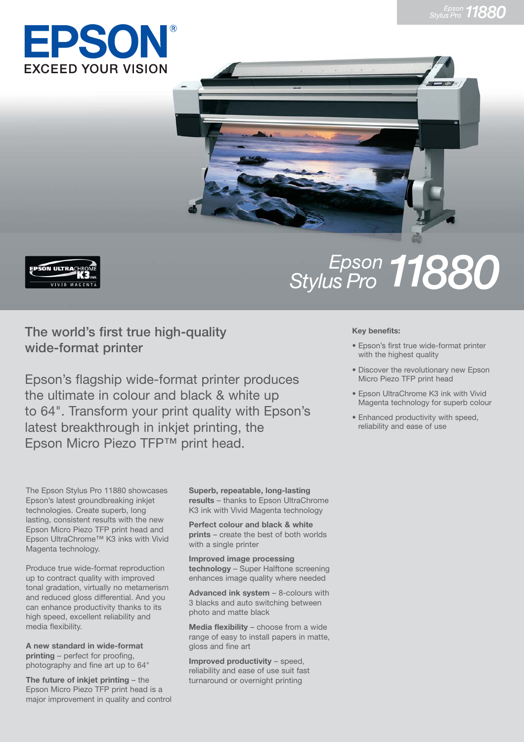





## **The world's first true high-quality wide-format printer**

Epson's flagship wide-format printer produces the ultimate in colour and black & white up to 64". Transform your print quality with Epson's latest breakthrough in inkjet printing, the Epson Micro Piezo TFP™ print head.

The Epson Stylus Pro 11880 showcases Epson's latest groundbreaking inkjet technologies. Create superb, long lasting, consistent results with the new Epson Micro Piezo TFP print head and Epson UltraChrome™ K3 inks with Vivid Magenta technology.

Produce true wide-format reproduction up to contract quality with improved tonal gradation, virtually no metamerism and reduced gloss differential. And you can enhance productivity thanks to its high speed, excellent reliability and media flexibility.

**A new standard in wide-format printing** – perfect for proofing, photography and fine art up to 64"

**The future of inkjet printing** – the Epson Micro Piezo TFP print head is a major improvement in quality and control **Superb, repeatable, long-lasting results** – thanks to Epson UltraChrome K3 ink with Vivid Magenta technology

**Perfect colour and black & white prints** – create the best of both worlds with a single printer

**Improved image processing technology** – Super Halftone screening enhances image quality where needed

Advanced ink system - 8-colours with 3 blacks and auto switching between photo and matte black

**Media flexibility - choose from a wide** range of easy to install papers in matte, gloss and fine art

**Improved productivity – speed,** reliability and ease of use suit fast turnaround or overnight printing

## Epson 11880

## **Key benefits:**

- Epson's first true wide-format printer with the highest quality
- Discover the revolutionary new Epson Micro Piezo TFP print head
- Epson UltraChrome K3 ink with Vivid Magenta technology for superb colour
- Enhanced productivity with speed, reliability and ease of use